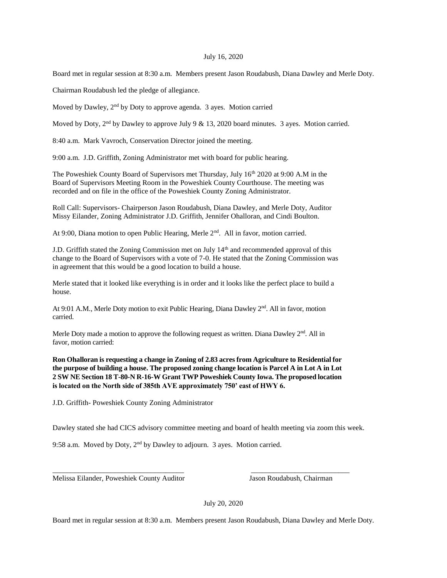## July 16, 2020

Board met in regular session at 8:30 a.m. Members present Jason Roudabush, Diana Dawley and Merle Doty.

Chairman Roudabush led the pledge of allegiance.

Moved by Dawley, 2<sup>nd</sup> by Doty to approve agenda. 3 ayes. Motion carried

Moved by Doty,  $2<sup>nd</sup>$  by Dawley to approve July 9 & 13, 2020 board minutes. 3 ayes. Motion carried.

8:40 a.m. Mark Vavroch, Conservation Director joined the meeting.

9:00 a.m. J.D. Griffith, Zoning Administrator met with board for public hearing.

The Poweshiek County Board of Supervisors met Thursday, July 16th 2020 at 9:00 A.M in the Board of Supervisors Meeting Room in the Poweshiek County Courthouse. The meeting was recorded and on file in the office of the Poweshiek County Zoning Administrator.

Roll Call: Supervisors- Chairperson Jason Roudabush, Diana Dawley, and Merle Doty, Auditor Missy Eilander, Zoning Administrator J.D. Griffith, Jennifer Ohalloran, and Cindi Boulton.

At 9:00, Diana motion to open Public Hearing, Merle 2<sup>nd</sup>. All in favor, motion carried.

J.D. Griffith stated the Zoning Commission met on July  $14<sup>th</sup>$  and recommended approval of this change to the Board of Supervisors with a vote of 7-0. He stated that the Zoning Commission was in agreement that this would be a good location to build a house.

Merle stated that it looked like everything is in order and it looks like the perfect place to build a house.

At 9:01 A.M., Merle Doty motion to exit Public Hearing, Diana Dawley 2nd. All in favor, motion carried.

Merle Doty made a motion to approve the following request as written. Diana Dawley  $2<sup>nd</sup>$ . All in favor, motion carried:

**Ron Ohalloran is requesting a change in Zoning of 2.83 acres from Agriculture to Residential for the purpose of building a house. The proposed zoning change location is Parcel A in Lot A in Lot 2 SW NE Section 18 T-80-N R-16-W Grant TWP Poweshiek County Iowa. The proposed location is located on the North side of 385th AVE approximately 750' east of HWY 6.** 

J.D. Griffith- Poweshiek County Zoning Administrator

Dawley stated she had CICS advisory committee meeting and board of health meeting via zoom this week.

\_\_\_\_\_\_\_\_\_\_\_\_\_\_\_\_\_\_\_\_\_\_\_\_\_\_\_\_\_\_\_\_\_\_\_\_ \_\_\_\_\_\_\_\_\_\_\_\_\_\_\_\_\_\_\_\_\_\_\_\_\_\_\_

9:58 a.m. Moved by Doty, 2nd by Dawley to adjourn. 3 ayes. Motion carried.

Melissa Eilander, Poweshiek County Auditor Jason Roudabush, Chairman

July 20, 2020

Board met in regular session at 8:30 a.m. Members present Jason Roudabush, Diana Dawley and Merle Doty.